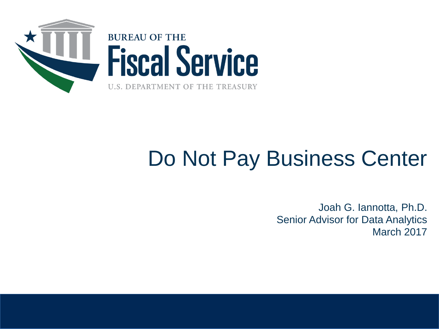

## Do Not Pay Business Center

Joah G. Iannotta, Ph.D. Senior Advisor for Data Analytics March 2017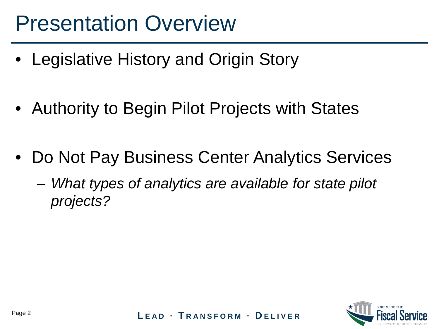### Presentation Overview

- Legislative History and Origin Story
- Authority to Begin Pilot Projects with States
- Do Not Pay Business Center Analytics Services
	- *What types of analytics are available for state pilot projects?*

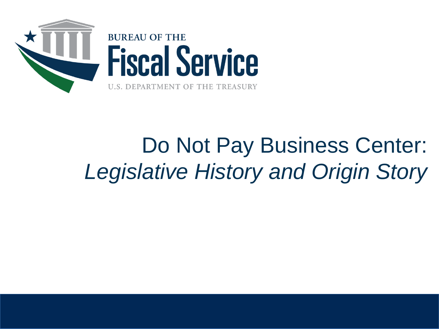

# Do Not Pay Business Center: *Legislative History and Origin Story*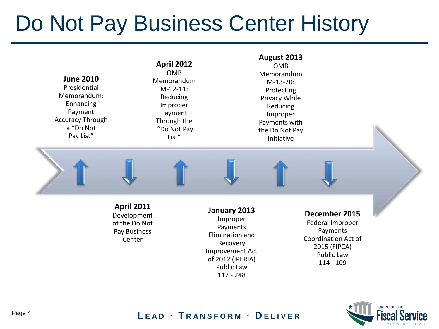### Do Not Pay Business Center History



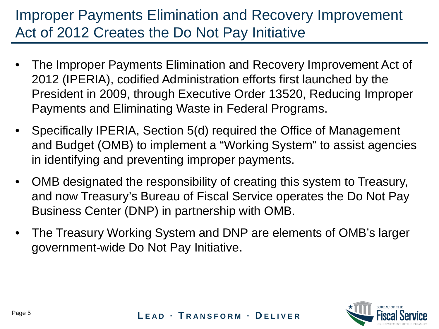### Improper Payments Elimination and Recovery Improvement Act of 2012 Creates the Do Not Pay Initiative

- The Improper Payments Elimination and Recovery Improvement Act of 2012 (IPERIA), codified Administration efforts first launched by the President in 2009, through Executive Order 13520, Reducing Improper Payments and Eliminating Waste in Federal Programs.
- Specifically IPERIA, Section 5(d) required the Office of Management and Budget (OMB) to implement a "Working System" to assist agencies in identifying and preventing improper payments.
- OMB designated the responsibility of creating this system to Treasury, and now Treasury's Bureau of Fiscal Service operates the Do Not Pay Business Center (DNP) in partnership with OMB.
- The Treasury Working System and DNP are elements of OMB's larger government-wide Do Not Pay Initiative.

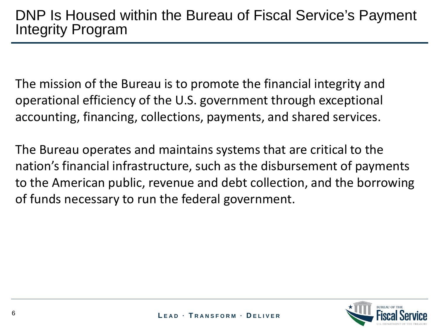The mission of the Bureau is to promote the financial integrity and operational efficiency of the U.S. government through exceptional accounting, financing, collections, payments, and shared services.

The Bureau operates and maintains systems that are critical to the nation's financial infrastructure, such as the disbursement of payments to the American public, revenue and debt collection, and the borrowing of funds necessary to run the federal government.

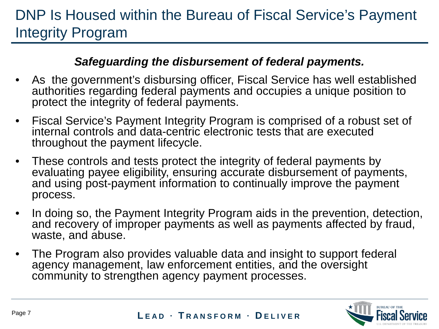### DNP Is Housed within the Bureau of Fiscal Service's Payment Integrity Program

#### *Safeguarding the disbursement of federal payments.*

- As the government's disbursing officer, Fiscal Service has well established authorities regarding federal payments and occupies a unique position to protect the integrity of federal payments.
- Fiscal Service's Payment Integrity Program is comprised of a robust set of internal controls and data-centric electronic tests that are executed throughout the payment lifecycle.
- These controls and tests protect the integrity of federal payments by evaluating payee eligibility, ensuring accurate disbursement of payments, and using post-payment information to continually improve the payment process.
- In doing so, the Payment Integrity Program aids in the prevention, detection, and recovery of improper payments as well as payments affected by fraud, waste, and abuse.
- The Program also provides valuable data and insight to support federal agency management, law enforcement entities, and the oversight community to strengthen agency payment processes.

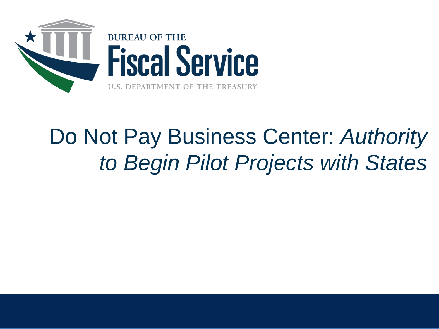

# Do Not Pay Business Center: *Authority to Begin Pilot Projects with States*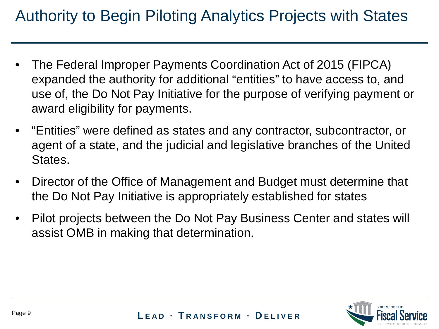### Authority to Begin Piloting Analytics Projects with States

- The Federal Improper Payments Coordination Act of 2015 (FIPCA) expanded the authority for additional "entities" to have access to, and use of, the Do Not Pay Initiative for the purpose of verifying payment or award eligibility for payments.
- "Entities" were defined as states and any contractor, subcontractor, or agent of a state, and the judicial and legislative branches of the United States.
- Director of the Office of Management and Budget must determine that the Do Not Pay Initiative is appropriately established for states
- Pilot projects between the Do Not Pay Business Center and states will assist OMB in making that determination.

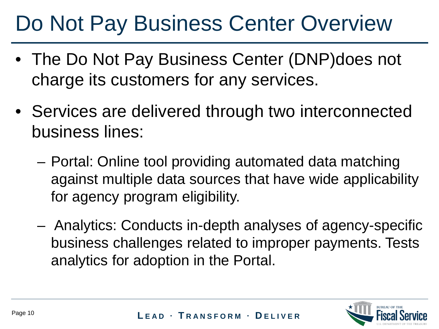### Do Not Pay Business Center Overview

- The Do Not Pay Business Center (DNP)does not charge its customers for any services.
- Services are delivered through two interconnected business lines:
	- Portal: Online tool providing automated data matching against multiple data sources that have wide applicability for agency program eligibility.
	- Analytics: Conducts in-depth analyses of agency-specific business challenges related to improper payments. Tests analytics for adoption in the Portal.

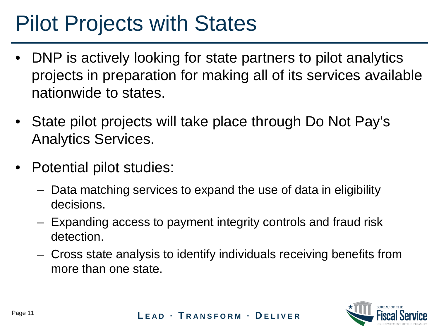### Pilot Projects with States

- DNP is actively looking for state partners to pilot analytics projects in preparation for making all of its services available nationwide to states.
- State pilot projects will take place through Do Not Pay's Analytics Services.
- Potential pilot studies:
	- Data matching services to expand the use of data in eligibility decisions.
	- Expanding access to payment integrity controls and fraud risk detection.
	- Cross state analysis to identify individuals receiving benefits from more than one state.

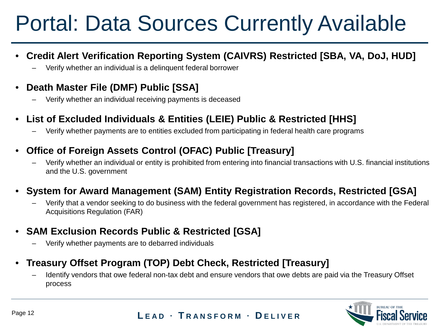## Portal: Data Sources Currently Available

- **Credit Alert Verification Reporting System (CAIVRS) Restricted [SBA, VA, DoJ, HUD]**
	- Verify whether an individual is a delinquent federal borrower

#### • **Death Master File (DMF) Public [SSA]**

- Verify whether an individual receiving payments is deceased
- **List of Excluded Individuals & Entities (LEIE) Public & Restricted [HHS]**
	- Verify whether payments are to entities excluded from participating in federal health care programs

#### • **Office of Foreign Assets Control (OFAC) Public [Treasury]**

– Verify whether an individual or entity is prohibited from entering into financial transactions with U.S. financial institutions and the U.S. government

#### • **System for Award Management (SAM) Entity Registration Records, Restricted [GSA]**

- Verify that a vendor seeking to do business with the federal government has registered, in accordance with the Federal Acquisitions Regulation (FAR)
- **SAM Exclusion Records Public & Restricted [GSA]**
	- Verify whether payments are to debarred individuals
- **Treasury Offset Program (TOP) Debt Check, Restricted [Treasury]**
	- Identify vendors that owe federal non-tax debt and ensure vendors that owe debts are paid via the Treasury Offset process

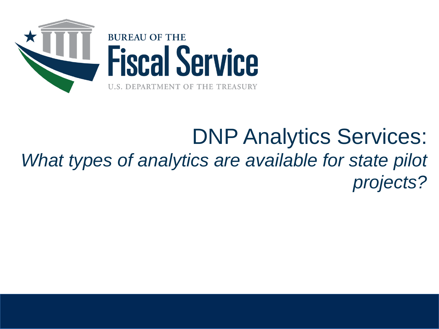

### DNP Analytics Services: *What types of analytics are available for state pilot projects?*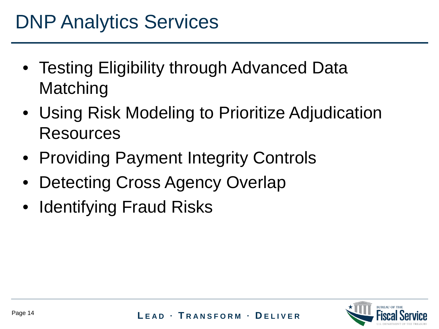- Testing Eligibility through Advanced Data **Matching**
- Using Risk Modeling to Prioritize Adjudication Resources
- Providing Payment Integrity Controls
- Detecting Cross Agency Overlap
- Identifying Fraud Risks

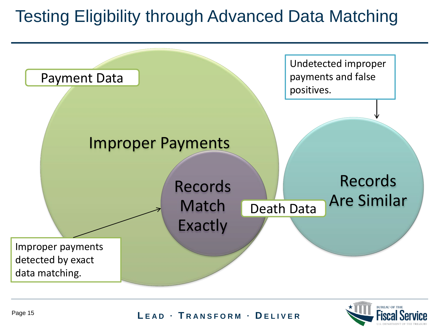### Testing Eligibility through Advanced Data Matching



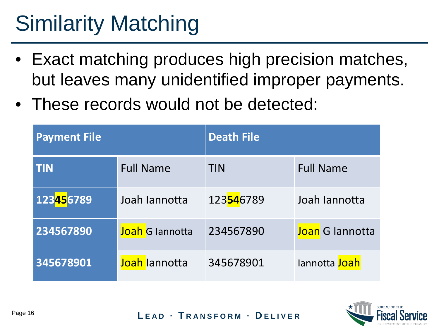# Similarity Matching

- Exact matching produces high precision matches, but leaves many unidentified improper payments.
- These records would not be detected:

| <b>Payment File</b>      |                        | <b>Death File</b>        |                        |
|--------------------------|------------------------|--------------------------|------------------------|
| <b>TIN</b>               | <b>Full Name</b>       | <b>TIN</b>               | <b>Full Name</b>       |
| 123 <mark>45</mark> 6789 | Joah lannotta          | 123 <mark>54</mark> 6789 | Joah lannotta          |
| 234567890                | <b>Joah</b> G Jannotta | 234567890                | <b>Joan G lannotta</b> |
| 345678901                | Joah lannotta          | 345678901                | Iannotta Joah          |

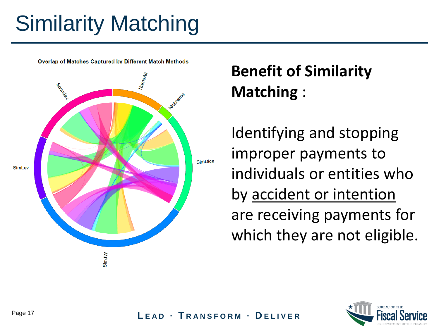# Similarity Matching



### **Benefit of Similarity Matching** :

Identifying and stopping improper payments to individuals or entities who by accident or intention are receiving payments for which they are not eligible.

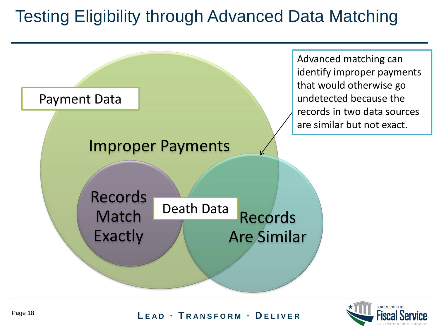### Testing Eligibility through Advanced Data Matching



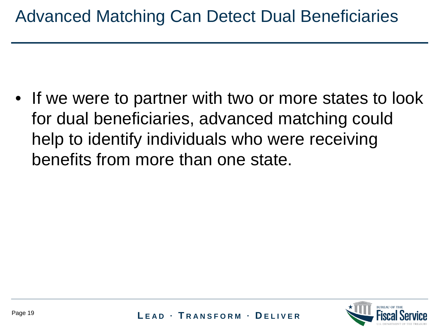• If we were to partner with two or more states to look for dual beneficiaries, advanced matching could help to identify individuals who were receiving benefits from more than one state.

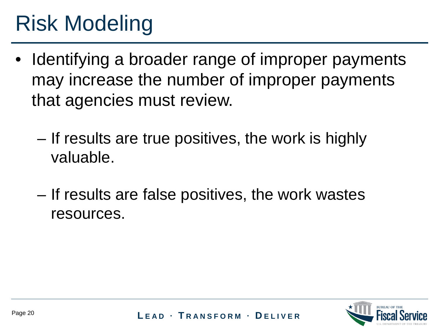### Risk Modeling

- Identifying a broader range of improper payments may increase the number of improper payments that agencies must review.
	- If results are true positives, the work is highly valuable.
	- If results are false positives, the work wastes resources.

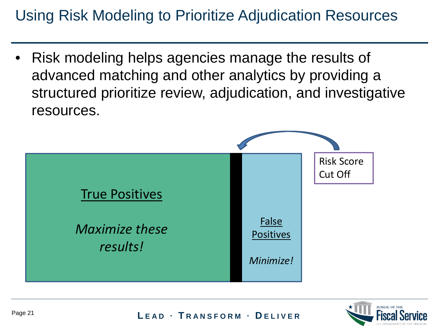### Using Risk Modeling to Prioritize Adjudication Resources

• Risk modeling helps agencies manage the results of advanced matching and other analytics by providing a structured prioritize review, adjudication, and investigative resources.



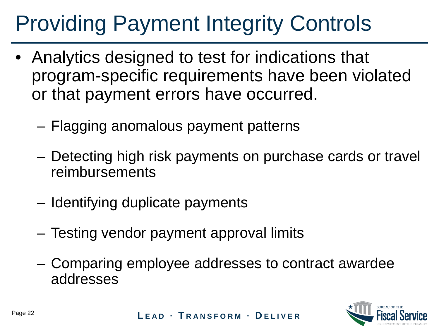# Providing Payment Integrity Controls

- Analytics designed to test for indications that program-specific requirements have been violated or that payment errors have occurred.
	- Flagging anomalous payment patterns
	- Detecting high risk payments on purchase cards or travel reimbursements
	- Identifying duplicate payments
	- Testing vendor payment approval limits
	- Comparing employee addresses to contract awardee addresses

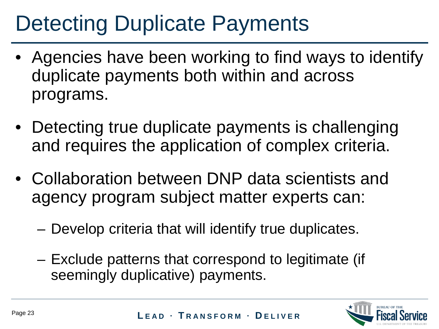## Detecting Duplicate Payments

- Agencies have been working to find ways to identify duplicate payments both within and across programs.
- Detecting true duplicate payments is challenging and requires the application of complex criteria.
- Collaboration between DNP data scientists and agency program subject matter experts can:
	- Develop criteria that will identify true duplicates.
	- Exclude patterns that correspond to legitimate (if seemingly duplicative) payments.

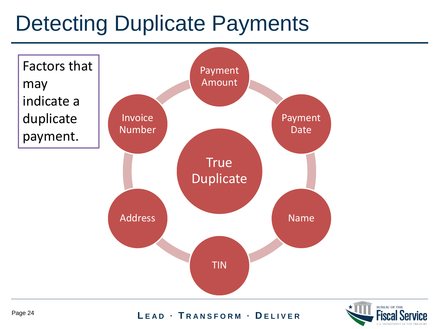### Detecting Duplicate Payments



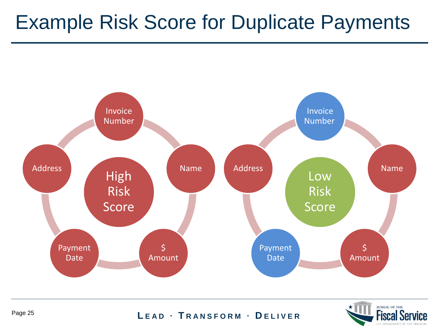### Example Risk Score for Duplicate Payments



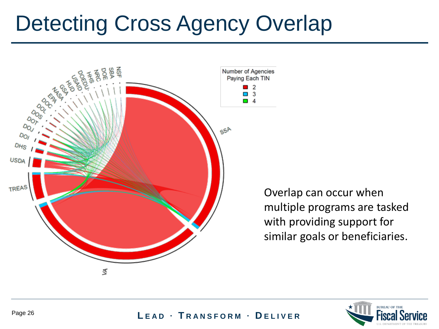### Detecting Cross Agency Overlap



Overlap can occur when multiple programs are tasked with providing support for similar goals or beneficiaries.

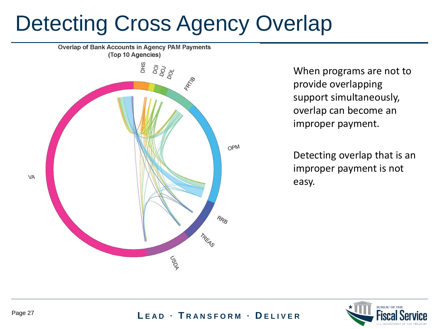### Detecting Cross Agency Overlap



When programs are not to provide overlapping support simultaneously, overlap can become an improper payment.

Detecting overlap that is an improper payment is not easy.

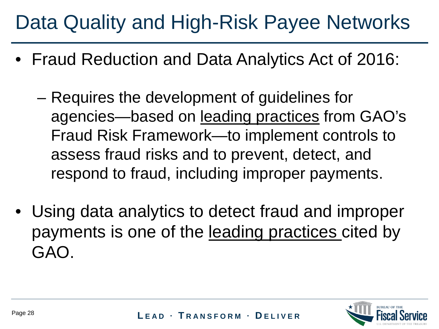### Data Quality and High-Risk Payee Networks

- Fraud Reduction and Data Analytics Act of 2016:
	- Requires the development of guidelines for agencies—based on leading practices from GAO's Fraud Risk Framework—to implement controls to assess fraud risks and to prevent, detect, and respond to fraud, including improper payments.
- Using data analytics to detect fraud and improper payments is one of the leading practices cited by GAO.

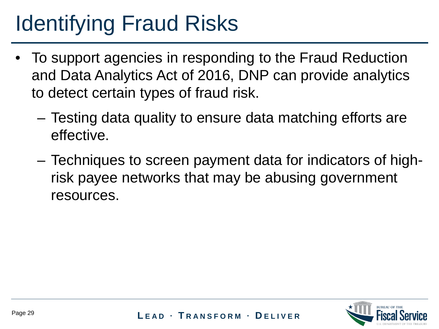## Identifying Fraud Risks

- To support agencies in responding to the Fraud Reduction and Data Analytics Act of 2016, DNP can provide analytics to detect certain types of fraud risk.
	- Testing data quality to ensure data matching efforts are effective.
	- Techniques to screen payment data for indicators of highrisk payee networks that may be abusing government resources.

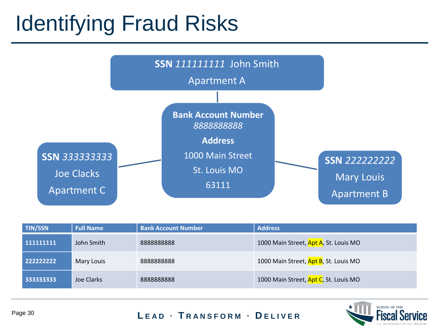## Identifying Fraud Risks



| <b>TIN/SSN</b> | <b>Full Name</b> | <b>Bank Account Number</b> | <b>Address</b>                        |
|----------------|------------------|----------------------------|---------------------------------------|
| 111111111      | John Smith       | 8888888888                 | 1000 Main Street, Apt A, St. Louis MO |
| 222222222      | Mary Louis       | 888888888                  | 1000 Main Street, Apt B, St. Louis MO |
| 333333333      | Joe Clarks       | 888888888                  | 1000 Main Street, Apt C, St. Louis MO |